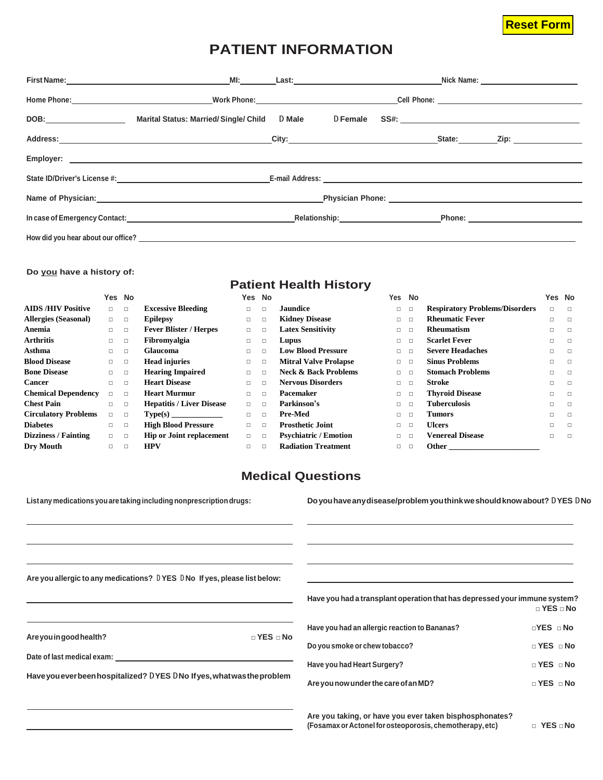## **Reset Form**

# **PATIENT INFORMATION**

| Marital Status: Married/Single/Child D Male                                                                                                                                                                                    | D Female |  |  |  |
|--------------------------------------------------------------------------------------------------------------------------------------------------------------------------------------------------------------------------------|----------|--|--|--|
|                                                                                                                                                                                                                                |          |  |  |  |
|                                                                                                                                                                                                                                |          |  |  |  |
|                                                                                                                                                                                                                                |          |  |  |  |
| Name of Physician: Name of Physician Christian Christian Christian Christian Christian Christian Christian Christian Christian Christian Christian Christian Christian Christian Christian Christian Christian Christian Chris |          |  |  |  |
| In case of Emergency Contact: National Content of Contract Content of Content of Content of Content of Content Content of Content of Content of Content of Content of Content of Content of Content of Content of Content of C |          |  |  |  |
|                                                                                                                                                                                                                                |          |  |  |  |

#### **Do you have a history of:**

### **Patient Health History**

|                             | Yes No |        |                                  |        | Yes No |                                 | Yes    | <b>No</b> |                                       | Yes No |        |
|-----------------------------|--------|--------|----------------------------------|--------|--------|---------------------------------|--------|-----------|---------------------------------------|--------|--------|
| <b>AIDS/HIV Positive</b>    | $\Box$ | $\Box$ | <b>Excessive Bleeding</b>        | $\Box$ | $\Box$ | Jaundice                        | $\Box$ | $\Box$    | <b>Respiratory Problems/Disorders</b> | $\Box$ | $\Box$ |
| <b>Allergies (Seasonal)</b> | $\Box$ | $\Box$ | <b>Epilepsy</b>                  | $\Box$ | $\Box$ | <b>Kidney Disease</b>           | $\Box$ | $\Box$    | <b>Rheumatic Fever</b>                | $\Box$ | $\Box$ |
| Anemia                      | $\Box$ | $\Box$ | <b>Fever Blister / Herpes</b>    | $\Box$ | $\Box$ | <b>Latex Sensitivity</b>        | о      | $\Box$    | <b>Rheumatism</b>                     | $\Box$ | $\Box$ |
| <b>Arthritis</b>            | $\Box$ | $\Box$ | Fibromvalgia                     | $\Box$ | □      | Lupus                           | 0      | $\Box$    | <b>Scarlet Fever</b>                  | $\Box$ | $\Box$ |
| Asthma                      | $\Box$ | □      | <b>Glaucoma</b>                  | □      | □      | <b>Low Blood Pressure</b>       | 0      | $\Box$    | <b>Severe Headaches</b>               | □      | $\Box$ |
| <b>Blood Disease</b>        | $\Box$ | $\Box$ | <b>Head injuries</b>             | □      | $\Box$ | <b>Mitral Valve Prolapse</b>    | $\Box$ | $\Box$    | <b>Sinus Problems</b>                 | $\Box$ | $\Box$ |
| <b>Bone Disease</b>         | $\Box$ | $\Box$ | <b>Hearing Impaired</b>          | □      | $\Box$ | <b>Neck &amp; Back Problems</b> | $\Box$ | $\Box$    | <b>Stomach Problems</b>               | □      | $\Box$ |
| <b>Cancer</b>               | $\Box$ | $\Box$ | <b>Heart Disease</b>             | $\Box$ | $\Box$ | <b>Nervous Disorders</b>        | $\Box$ | $\Box$    | Stroke                                | $\Box$ | $\Box$ |
| <b>Chemical Dependency</b>  | $\Box$ | $\Box$ | <b>Heart Murmur</b>              | $\Box$ | $\Box$ | Pacemaker                       | о      | $\Box$    | <b>Thyroid Disease</b>                | □      | $\Box$ |
| <b>Chest Pain</b>           | П.     | $\Box$ | <b>Hepatitis / Liver Disease</b> | $\Box$ | $\Box$ | Parkinson's                     | 0      | $\Box$    | <b>Tuberculosis</b>                   | $\Box$ | $\Box$ |
| <b>Circulatory Problems</b> | $\Box$ | $\Box$ |                                  | $\Box$ | $\Box$ | Pre-Med                         | 0      | $\Box$    | <b>Tumors</b>                         | $\Box$ | $\Box$ |
| <b>Diabetes</b>             | $\Box$ | $\Box$ | <b>High Blood Pressure</b>       | $\Box$ | $\Box$ | <b>Prosthetic Joint</b>         | $\Box$ | $\Box$    | <b>Ulcers</b>                         | $\Box$ | $\Box$ |
| <b>Dizziness / Fainting</b> | $\Box$ | $\Box$ | <b>Hip or Joint replacement</b>  | $\Box$ | $\Box$ | <b>Psychiatric / Emotion</b>    | $\Box$ | $\Box$    | <b>Venereal Disease</b>               | $\Box$ | $\Box$ |
| Dry Mouth                   | П.     |        | <b>HPV</b>                       | $\Box$ |        | <b>Radiation Treatment</b>      |        | $\Box$    | Other                                 |        |        |

## **Medical Questions**

| List any medications you are taking including nonprescription drugs:        | Do you have any disease/problem you think we should know about? DYES DNo                                            |                      |
|-----------------------------------------------------------------------------|---------------------------------------------------------------------------------------------------------------------|----------------------|
|                                                                             |                                                                                                                     |                      |
| Are you allergic to any medications? DYES DNo If yes, please list below:    |                                                                                                                     |                      |
|                                                                             | Have you had a transplant operation that has depressed your immune system?                                          | $\Box$ YES $\Box$ No |
|                                                                             | Have you had an allergic reaction to Bananas?                                                                       | $\Box$ YES $\Box$ No |
| Are you in good health?<br>$\Box$ YES $\Box$ No                             | Do you smoke or chew tobacco?                                                                                       | $\Box$ YES $\Box$ No |
| Date of last medical exam: Notified that the state of last medical example. | Have you had Heart Surgery?                                                                                         | $\Box$ YES $\Box$ No |
| Have you ever been hospitalized? DYES DNo If yes, what was the problem      | Are you now under the care of an MD?                                                                                | $\Box$ YES $\Box$ No |
|                                                                             | Are you taking, or have you ever taken bisphosphonates?<br>(Fosamax or Actonel for osteoporosis, chemotherapy, etc) | $\Box$ YES $\Box$ No |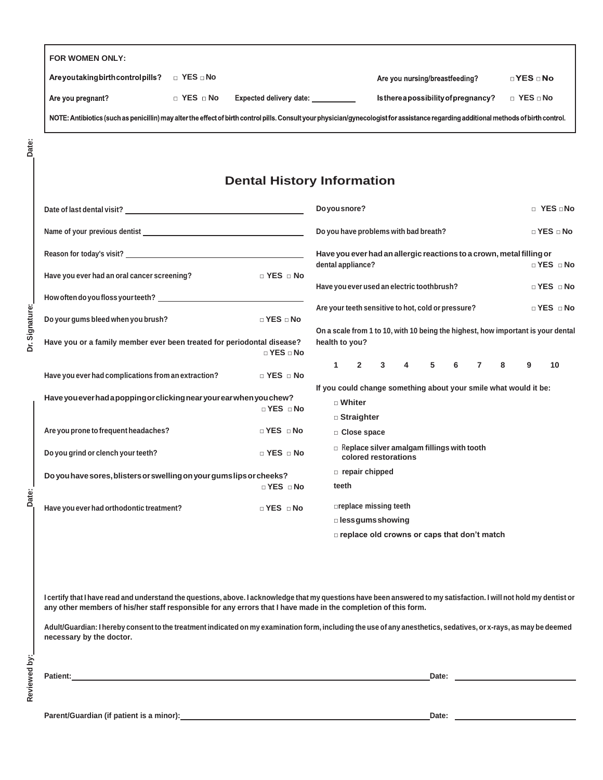| Are you taking birth control pills? | $\Box$ YES $\Box$ No |                                                                                                                                                                                       | Are you nursing/breastfeeding?       | $\neg$ YES $\neg$ No |
|-------------------------------------|----------------------|---------------------------------------------------------------------------------------------------------------------------------------------------------------------------------------|--------------------------------------|----------------------|
| Are you pregnant?                   | $\Box$ YES $\Box$ No | Expected delivery date:                                                                                                                                                               | Is there a possibility of pregnancy? | $\Box$ YES $\Box$ No |
|                                     |                      | NOTE: Antibiotics (such as penicillin) may alter the effect of birth control pills. Consult your physician/gynecologist for assistance regarding additional methods of birth control. |                                      |                      |

Dr. Signature:

Date:

### **Dental History Information**

| Date of last dental visit? The state of the state of last state of last dental visit?        |                      | $\Box$ YES $\Box$ No<br>Do you snore?                                                                      |  |  |  |  |  |
|----------------------------------------------------------------------------------------------|----------------------|------------------------------------------------------------------------------------------------------------|--|--|--|--|--|
|                                                                                              |                      | Do you have problems with bad breath?<br>$\Box$ YES $\Box$ No                                              |  |  |  |  |  |
|                                                                                              |                      | Have you ever had an allergic reactions to a crown, metal filling or                                       |  |  |  |  |  |
| Have you ever had an oral cancer screening?                                                  | $\Box$ YES $\Box$ No | dental appliance?<br>$\Box$ YES $\Box$ No                                                                  |  |  |  |  |  |
|                                                                                              |                      | Have you ever used an electric toothbrush?<br>$\Box$ YES $\Box$ No                                         |  |  |  |  |  |
|                                                                                              |                      | Are your teeth sensitive to hot, cold or pressure?<br>$\Box$ YES $\Box$ No                                 |  |  |  |  |  |
| Do your gums bleed when you brush?                                                           | $\Box$ YES $\Box$ No |                                                                                                            |  |  |  |  |  |
|                                                                                              |                      | On a scale from 1 to 10, with 10 being the highest, how important is your dental                           |  |  |  |  |  |
| Have you or a family member ever been treated for periodontal disease?                       | $\Box$ YES $\Box$ No | health to you?                                                                                             |  |  |  |  |  |
|                                                                                              |                      | $\overline{\mathbf{4}}$<br>5<br>$\mathbf{1}$<br>$\overline{2}$<br>3<br>6<br>$\overline{7}$<br>8<br>9<br>10 |  |  |  |  |  |
| Have you ever had complications from an extraction?                                          | $\Box$ YES $\Box$ No |                                                                                                            |  |  |  |  |  |
|                                                                                              |                      | If you could change something about your smile what would it be:                                           |  |  |  |  |  |
| Have you ever had a popping or clicking near your ear when you chew?                         | $\Box$ YES $\Box$ No | □ Whiter                                                                                                   |  |  |  |  |  |
|                                                                                              |                      | □ Straighter                                                                                               |  |  |  |  |  |
| Are you prone to frequent headaches?                                                         | $\Box$ YES $\Box$ No | $\Box$ Close space                                                                                         |  |  |  |  |  |
| Do you grind or clench your teeth?                                                           | $\Box$ YES $\Box$ No | Replace silver amalgam fillings with tooth<br>colored restorations                                         |  |  |  |  |  |
| Do you have sores, blisters or swelling on your gums lips or cheeks?<br>$\Box$ YES $\Box$ No |                      | $\Box$ repair chipped                                                                                      |  |  |  |  |  |
|                                                                                              |                      | teeth                                                                                                      |  |  |  |  |  |
| Have you ever had orthodontic treatment?                                                     | $\Box$ YES $\Box$ No | $\square$ replace missing teeth                                                                            |  |  |  |  |  |
|                                                                                              |                      | $\square$ less gums showing                                                                                |  |  |  |  |  |
|                                                                                              |                      | □ replace old crowns or caps that don't match                                                              |  |  |  |  |  |

I certify that I have read and understand the questions, above. I acknowledge that my questions have been answered to my satisfaction. I will not hold my dentist or any other members of his/her staff responsible for any errors that I have made in the completion of this form.

Adult/Guardian: I hereby consent to the treatment indicated on my examination form, including the use of any anesthetics, sedatives, or x-rays, as may be deemed **necessary by the doctor.**

**Reviewed by: Date: Dr. Signature: Date:**Reviewed by:

**Patient: Date:**